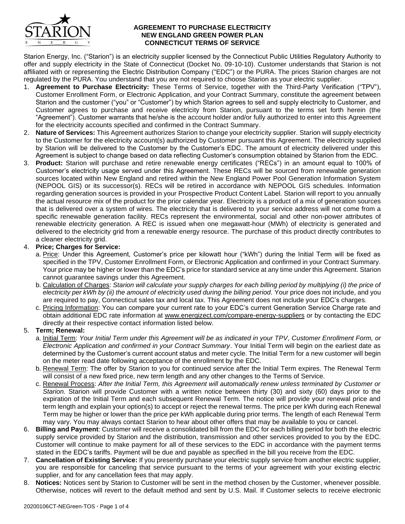

### **AGREEMENT TO PURCHASE ELECTRICITY NEW ENGLAND GREEN POWER PLAN CONNECTICUT TERMS OF SERVICE**

Starion Energy, Inc. ("Starion") is an electricity supplier licensed by the Connecticut Public Utilities Regulatory Authority to offer and supply electricity in the State of Connecticut (Docket No. 09-10-10). Customer understands that Starion is not affiliated with or representing the Electric Distribution Company ("EDC") or the PURA. The prices Starion charges are not regulated by the PURA. You understand that you are not required to choose Starion as your electric supplier.

- 1. **Agreement to Purchase Electricity:** These Terms of Service, together with the Third-Party Verification ("TPV"), Customer Enrollment Form, or Electronic Application, and your Contract Summary, constitute the agreement between Starion and the customer ("you" or "Customer") by which Starion agrees to sell and supply electricity to Customer, and Customer agrees to purchase and receive electricity from Starion, pursuant to the terms set forth herein (the "Agreement"). Customer warrants that he/she is the account holder and/or fully authorized to enter into this Agreement for the electricity accounts specified and confirmed in the Contract Summary.
- 2. **Nature of Services:** This Agreement authorizes Starion to change your electricity supplier. Starion will supply electricity to the Customer for the electricity account(s) authorized by Customer pursuant this Agreement. The electricity supplied by Starion will be delivered to the Customer by the Customer's EDC. The amount of electricity delivered under this Agreement is subject to change based on data reflecting Customer's consumption obtained by Starion from the EDC.
- 3. **Product:** Starion will purchase and retire renewable energy certificates ("RECs") in an amount equal to 100% of Customer's electricity usage served under this Agreement. These RECs will be sourced from renewable generation sources located within New England and retired within the New England Power Pool Generation Information System (NEPOOL GIS) or its successor(s). RECs will be retired in accordance with NEPOOL GIS schedules. Information regarding generation sources is provided in your Prospective Product Content Label. Starion will report to you annually the actual resource mix of the product for the prior calendar year. Electricity is a product of a mix of generation sources that is delivered over a system of wires. The electricity that is delivered to your service address will not come from a specific renewable generation facility. RECs represent the environmental, social and other non-power attributes of renewable electricity generation. A REC is issued when one megawatt-hour (MWh) of electricity is generated and delivered to the electricity grid from a renewable energy resource. The purchase of this product directly contributes to a cleaner electricity grid.

# 4. **Price; Charges for Service:**

- a. Price: Under this Agreement, Customer's price per kilowatt hour ("kWh") during the Initial Term will be fixed as specified in the TPV, Customer Enrollment Form, or Electronic Application and confirmed in your Contract Summary. Your price may be higher or lower than the EDC's price for standard service at any time under this Agreement. Starion cannot guarantee savings under this Agreement.
- b. Calculation of Charges: *Starion will calculate your supply charges for each billing period by multiplying (i) the price of*  electricity per kWh by (ii) the amount of electricity used during the billing period. Your price does not include, and you are required to pay, Connecticut sales tax and local tax. This Agreement does not include your EDC's charges.
- c. Pricing Information: You can compare your current rate to your EDC's current Generation Service Charge rate and obtain additional EDC rate information at www*.*energizect.com/compare-energy-suppliers or by contacting the EDC directly at their respective contact information listed below.

## 5. **Term; Renewal:**

- a. Initial Term: *Your Initial Term under this Agreement will be as indicated in your TPV, Customer Enrollment Form, or Electronic Application and confirmed in your Contract Summary*. Your Initial Term will begin on the earliest date as determined by the Customer's current account status and meter cycle. The Initial Term for a new customer will begin on the meter read date following acceptance of the enrollment by the EDC.
- b. Renewal Term: The offer by Starion to you for continued service after the Initial Term expires. The Renewal Term will consist of a new fixed price, new term length and any other changes to the Terms of Service.
- c. Renewal Process: *After the Initial Term, this Agreement will automatically renew unless terminated by Customer or Starion.* Starion will provide Customer with a written notice between thirty (30) and sixty (60) days prior to the expiration of the Initial Term and each subsequent Renewal Term. The notice will provide your renewal price and term length and explain your option(s) to accept or reject the renewal terms. The price per kWh during each Renewal Term may be higher or lower than the price per kWh applicable during prior terms. The length of each Renewal Term may vary. You may always contact Starion to hear about other offers that may be available to you or cancel.
- 6. **Billing and Payment**: Customer will receive a consolidated bill from the EDC for each billing period for both the electric supply service provided by Starion and the distribution, transmission and other services provided to you by the EDC. Customer will continue to make payment for all of these services to the EDC in accordance with the payment terms stated in the EDC's tariffs. Payment will be due and payable as specified in the bill you receive from the EDC.
- 7. **Cancellation of Existing Service:** If you presently purchase your electric supply service from another electric supplier, you are responsible for canceling that service pursuant to the terms of your agreement with your existing electric supplier, and for any cancellation fees that may apply.
- 8. **Notices:** Notices sent by Starion to Customer will be sent in the method chosen by the Customer, whenever possible. Otherwise, notices will revert to the default method and sent by U.S. Mail. If Customer selects to receive electronic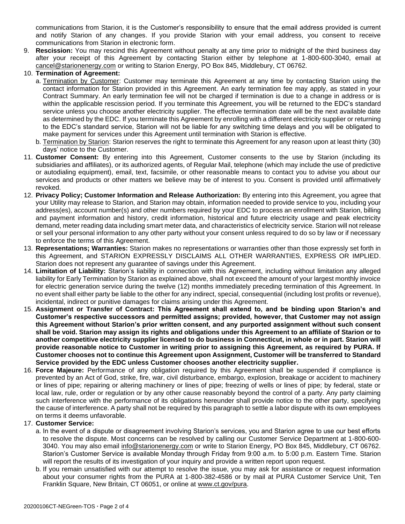communications from Starion, it is the Customer's responsibility to ensure that the email address provided is current and notify Starion of any changes. If you provide Starion with your email address, you consent to receive communications from Starion in electronic form.

9. **Rescission:** You may rescind this Agreement without penalty at any time prior to midnight of the third business day after your receipt of this Agreement by contacting Starion either by telephone at 1-800-600-3040, email at cancel@starionenergy.com or writing to Starion Energy, PO Box 845, Middlebury, CT 06762.

## 10. **Termination of Agreement:**

- a. Termination by Customer: Customer may terminate this Agreement at any time by contacting Starion using the contact information for Starion provided in this Agreement. An early termination fee may apply, as stated in your Contract Summary. An early termination fee will not be charged if termination is due to a change in address or is within the applicable rescission period. If you terminate this Agreement, you will be returned to the EDC's standard service unless you choose another electricity supplier. The effective termination date will be the next available date as determined by the EDC. If you terminate this Agreement by enrolling with a different electricity supplier or returning to the EDC's standard service, Starion will not be liable for any switching time delays and you will be obligated to make payment for services under this Agreement until termination with Starion is effective.
- b. Termination by Starion: Starion reserves the right to terminate this Agreement for any reason upon at least thirty (30) days' notice to the Customer.
- 11. **Customer Consent:** By entering into this Agreement, Customer consents to the use by Starion (including its subsidiaries and affiliates), or its authorized agents, of Regular Mail, telephone (which may include the use of predictive or autodialing equipment), email, text, facsimile, or other reasonable means to contact you to advise you about our services and products or other matters we believe may be of interest to you. Consent is provided until affirmatively revoked.
- 12. **Privacy Policy; Customer Information and Release Authorization:** By entering into this Agreement, you agree that your Utility may release to Starion, and Starion may obtain, information needed to provide service to you, including your address(es), account number(s) and other numbers required by your EDC to process an enrollment with Starion, billing and payment information and history, credit information, historical and future electricity usage and peak electricity demand, meter reading data including smart meter data, and characteristics of electricity service. Starion will not release or sell your personal information to any other party without your consent unless required to do so by law or if necessary to enforce the terms of this Agreement.
- 13. **Representations; Warranties:** Starion makes no representations or warranties other than those expressly set forth in this Agreement, and STARION EXPRESSLY DISCLAIMS ALL OTHER WARRANTIES, EXPRESS OR IMPLIED. Starion does not represent any guarantee of savings under this Agreement.
- 14. **Limitation of Liability:** Starion's liability in connection with this Agreement, including without limitation any alleged liability for Early Termination by Starion as explained above, shall not exceed the amount of your largest monthly invoice for electric generation service during the twelve (12) months immediately preceding termination of this Agreement. In no event shall either party be liable to the other for any indirect, special, consequential (including lost profits or revenue), incidental, indirect or punitive damages for claims arising under this Agreement.
- 15. **Assignment or Transfer of Contract: This Agreement shall extend to, and be binding upon Starion's and Customer's respective successors and permitted assigns; provided, however, that Customer may not assign this Agreement without Starion's prior written consent, and any purported assignment without such consent shall be void. Starion may assign its rights and obligations under this Agreement to an affiliate of Starion or to another competitive electricity supplier licensed to do business in Connecticut, in whole or in part. Starion will provide reasonable notice to Customer in writing prior to assigning this Agreement, as required by PURA. If Customer chooses not to continue this Agreement upon Assignment, Customer will be transferred to Standard Service provided by the EDC unless Customer chooses another electricity supplier.**
- 16. **Force Majeure:** Performance of any obligation required by this Agreement shall be suspended if compliance is prevented by an Act of God, strike, fire, war, civil disturbance, embargo, explosion, breakage or accident to machinery or lines of pipe; repairing or altering machinery or lines of pipe; freezing of wells or lines of pipe; by federal, state or local law, rule, order or regulation or by any other cause reasonably beyond the control of a party. Any party claiming such interference with the performance of its obligations hereunder shall provide notice to the other party, specifying the cause of interference. A party shall not be required by this paragraph to settle a labor dispute with its own employees on terms it deems unfavorable.

### 17. **Customer Service:**

- a. In the event of a dispute or disagreement involving Starion's services, you and Starion agree to use our best efforts to resolve the dispute. Most concerns can be resolved by calling our Customer Service Department at 1-800-600- 3040. You may also email *info@starionenergy.com* or write to Starion Energy, PO Box 845, Middlebury, CT 06762. Starion's Customer Service is available Monday through Friday from 9:00 a.m. to 5:00 p.m. Eastern Time. Starion will report the results of its investigation of your inquiry and provide a written report upon request.
- b. If you remain unsatisfied with our attempt to resolve the issue, you may ask for assistance or request information about your consumer rights from the PURA at 1-800-382-4586 or by mail at PURA Customer Service Unit, Ten Franklin Square, New Britain, CT 06051, or online at www.ct.gov/pura.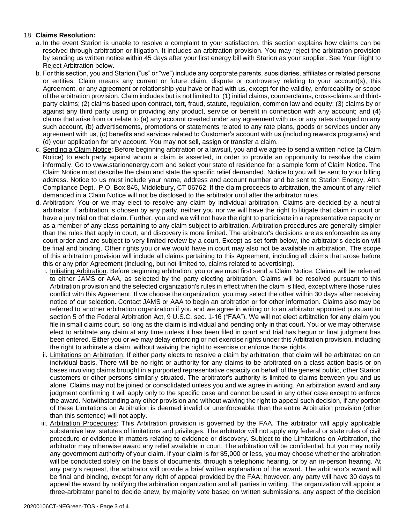## 18. **Claims Resolution:**

- a. In the event Starion is unable to resolve a complaint to your satisfaction, this section explains how claims can be resolved through arbitration or litigation. It includes an arbitration provision. You may reject the arbitration provision by sending us written notice within 45 days after your first energy bill with Starion as your supplier. See Your Right to Reject Arbitration below.
- b. For this section, you and Starion ("us" or "we") include any corporate parents, subsidiaries, affiliates or related persons or entities. Claim means any current or future claim, dispute or controversy relating to your account(s), this Agreement, or any agreement or relationship you have or had with us, except for the validity, enforceability or scope of the arbitration provision. Claim includes but is not limited to: (1) initial claims, counterclaims, cross-claims and thirdparty claims; (2) claims based upon contract, tort, fraud, statute, regulation, common law and equity; (3) claims by or against any third party using or providing any product, service or benefit in connection with any account; and (4) claims that arise from or relate to (a) any account created under any agreement with us or any rates charged on any such account, (b) advertisements, promotions or statements related to any rate plans, goods or services under any agreement with us, (c) benefits and services related to Customer's account with us (including rewards programs) and (d) your application for any account. You may not sell, assign or transfer a claim.
- c. Sending a Claim Notice: Before beginning arbitration or a lawsuit, you and we agree to send a written notice (a Claim Notice) to each party against whom a claim is asserted, in order to provide an opportunity to resolve the claim informally. Go to www.starionenergy.com and select your state of residence for a sample form of Claim Notice. The Claim Notice must describe the claim and state the specific relief demanded. Notice to you will be sent to your billing address. Notice to us must include your name, address and account number and be sent to Starion Energy, Attn: Compliance Dept., P.O. Box 845, Middlebury, CT 06762. If the claim proceeds to arbitration, the amount of any relief demanded in a Claim Notice will not be disclosed to the arbitrator until after the arbitrator rules.
- d. Arbitration: You or we may elect to resolve any claim by individual arbitration. Claims are decided by a neutral arbitrator. If arbitration is chosen by any party, neither you nor we will have the right to litigate that claim in court or have a jury trial on that claim. Further, you and we will not have the right to participate in a representative capacity or as a member of any class pertaining to any claim subject to arbitration. Arbitration procedures are generally simpler than the rules that apply in court, and discovery is more limited. The arbitrator's decisions are as enforceable as any court order and are subject to very limited review by a court. Except as set forth below, the arbitrator's decision will be final and binding. Other rights you or we would have in court may also not be available in arbitration. The scope of this arbitration provision will include all claims pertaining to this Agreement, including all claims that arose before this or any prior Agreement (including, but not limited to, claims related to advertising).
	- i. Initiating Arbitration: Before beginning arbitration, you or we must first send a Claim Notice. Claims will be referred to either JAMS or AAA, as selected by the party electing arbitration. Claims will be resolved pursuant to this Arbitration provision and the selected organization's rules in effect when the claim is filed, except where those rules conflict with this Agreement. If we choose the organization, you may select the other within 30 days after receiving notice of our selection. Contact JAMS or AAA to begin an arbitration or for other information. Claims also may be referred to another arbitration organization if you and we agree in writing or to an arbitrator appointed pursuant to section 5 of the Federal Arbitration Act, 9 U.S.C. sec. 1-16 ("FAA"). We will not elect arbitration for any claim you file in small claims court, so long as the claim is individual and pending only in that court. You or we may otherwise elect to arbitrate any claim at any time unless it has been filed in court and trial has begun or final judgment has been entered. Either you or we may delay enforcing or not exercise rights under this Arbitration provision, including the right to arbitrate a claim, without waiving the right to exercise or enforce those rights.
	- ii. Limitations on Arbitration: If either party elects to resolve a claim by arbitration, that claim will be arbitrated on an individual basis. There will be no right or authority for any claims to be arbitrated on a class action basis or on bases involving claims brought in a purported representative capacity on behalf of the general public, other Starion customers or other persons similarly situated. The arbitrator's authority is limited to claims between you and us alone. Claims may not be joined or consolidated unless you and we agree in writing. An arbitration award and any judgment confirming it will apply only to the specific case and cannot be used in any other case except to enforce the award. Notwithstanding any other provision and without waiving the right to appeal such decision, if any portion of these Limitations on Arbitration is deemed invalid or unenforceable, then the entire Arbitration provision (other than this sentence) will not apply.
	- iii. Arbitration Procedures: This Arbitration provision is governed by the FAA. The arbitrator will apply applicable substantive law, statutes of limitations and privileges. The arbitrator will not apply any federal or state rules of civil procedure or evidence in matters relating to evidence or discovery. Subject to the Limitations on Arbitration, the arbitrator may otherwise award any relief available in court. The arbitration will be confidential, but you may notify any government authority of your claim. If your claim is for \$5,000 or less, you may choose whether the arbitration will be conducted solely on the basis of documents, through a telephonic hearing, or by an in-person hearing. At any party's request, the arbitrator will provide a brief written explanation of the award. The arbitrator's award will be final and binding, except for any right of appeal provided by the FAA; however, any party will have 30 days to appeal the award by notifying the arbitration organization and all parties in writing. The organization will appoint a three-arbitrator panel to decide anew, by majority vote based on written submissions, any aspect of the decision